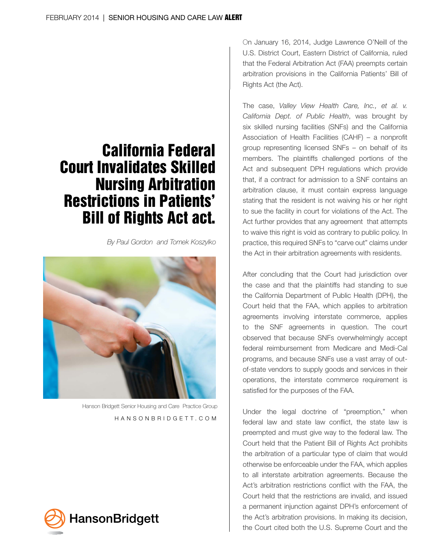# California Federal Court Invalidates Skilled Nursing Arbitration Restrictions in Patients' Bill of Rights Act act.

*By Paul Gordon and Tomek Koszylko* 



 Hanson Bridgett Senior Housing and Care Practice Group HANSONBRIDGETT.COM



On January 16, 2014, Judge Lawrence O'Neill of the U.S. District Court, Eastern District of California, ruled that the Federal Arbitration Act (FAA) preempts certain arbitration provisions in the California Patients' Bill of Rights Act (the Act).

The case, *Valley View Health Care, Inc., et al. v. California Dept. of Public Health*, was brought by six skilled nursing facilities (SNFs) and the California Association of Health Facilities (CAHF) – a nonprofit group representing licensed SNFs – on behalf of its members. The plaintiffs challenged portions of the Act and subsequent DPH regulations which provide that, if a contract for admission to a SNF contains an arbitration clause, it must contain express language stating that the resident is not waiving his or her right to sue the facility in court for violations of the Act. The Act further provides that any agreement that attempts to waive this right is void as contrary to public policy. In practice, this required SNFs to "carve out" claims under the Act in their arbitration agreements with residents.

After concluding that the Court had jurisdiction over the case and that the plaintiffs had standing to sue the California Department of Public Health (DPH), the Court held that the FAA, which applies to arbitration agreements involving interstate commerce, applies to the SNF agreements in question. The court observed that because SNFs overwhelmingly accept federal reimbursement from Medicare and Medi-Cal programs, and because SNFs use a vast array of outof-state vendors to supply goods and services in their operations, the interstate commerce requirement is satisfied for the purposes of the FAA.

Under the legal doctrine of "preemption," when federal law and state law conflict, the state law is preempted and must give way to the federal law. The Court held that the Patient Bill of Rights Act prohibits the arbitration of a particular type of claim that would otherwise be enforceable under the FAA, which applies to all interstate arbitration agreements. Because the Act's arbitration restrictions conflict with the FAA, the Court held that the restrictions are invalid, and issued a permanent injunction against DPH's enforcement of the Act's arbitration provisions. In making its decision, the Court cited both the U.S. Supreme Court and the